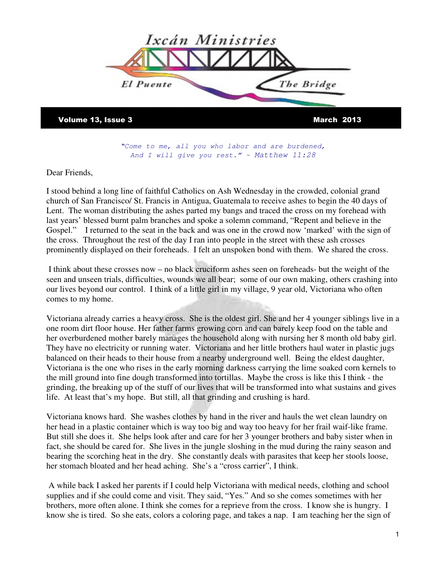

Volume 13, Issue 3 March 2013

**"**Come to me, all you who labor and are burdened, And I will give you rest."  $\sim$  Matthew 11:28

Dear Friends,

I stood behind a long line of faithful Catholics on Ash Wednesday in the crowded, colonial grand church of San Francisco/ St. Francis in Antigua, Guatemala to receive ashes to begin the 40 days of Lent. The woman distributing the ashes parted my bangs and traced the cross on my forehead with last years' blessed burnt palm branches and spoke a solemn command, "Repent and believe in the Gospel." I returned to the seat in the back and was one in the crowd now 'marked' with the sign of the cross. Throughout the rest of the day I ran into people in the street with these ash crosses prominently displayed on their foreheads. I felt an unspoken bond with them. We shared the cross.

 I think about these crosses now – no black cruciform ashes seen on foreheads- but the weight of the seen and unseen trials, difficulties, wounds we all bear; some of our own making, others crashing into our lives beyond our control. I think of a little girl in my village, 9 year old, Victoriana who often comes to my home.

Victoriana already carries a heavy cross. She is the oldest girl. She and her 4 younger siblings live in a one room dirt floor house. Her father farms growing corn and can barely keep food on the table and her overburdened mother barely manages the household along with nursing her 8 month old baby girl. They have no electricity or running water. Victoriana and her little brothers haul water in plastic jugs balanced on their heads to their house from a nearby underground well. Being the eldest daughter, Victoriana is the one who rises in the early morning darkness carrying the lime soaked corn kernels to the mill ground into fine dough transformed into tortillas. Maybe the cross is like this I think - the grinding, the breaking up of the stuff of our lives that will be transformed into what sustains and gives life. At least that's my hope. But still, all that grinding and crushing is hard.

Victoriana knows hard. She washes clothes by hand in the river and hauls the wet clean laundry on her head in a plastic container which is way too big and way too heavy for her frail waif-like frame. But still she does it. She helps look after and care for her 3 younger brothers and baby sister when in fact, she should be cared for. She lives in the jungle sloshing in the mud during the rainy season and bearing the scorching heat in the dry. She constantly deals with parasites that keep her stools loose, her stomach bloated and her head aching. She's a "cross carrier", I think.

 A while back I asked her parents if I could help Victoriana with medical needs, clothing and school supplies and if she could come and visit. They said, "Yes." And so she comes sometimes with her brothers, more often alone. I think she comes for a reprieve from the cross. I know she is hungry. I know she is tired. So she eats, colors a coloring page, and takes a nap. I am teaching her the sign of